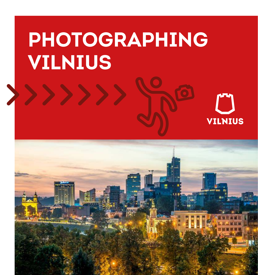# **PHOTOGRAPHING VILNIUS**



**VILNIUS**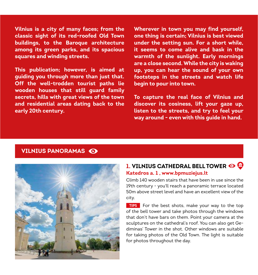**Vilnius is a city of many faces; from the classic sight of its red-roofed Old Town buildings, to the Baroque architecture among its green parks, and its spacious squares and winding streets.**

**This publication; however, is aimed at guiding you through more than just that. Off the well-trodden tourist paths lie wooden houses that still guard family secrets, hills with great views of the town and residential areas dating back to the early 20th century.**

**Wherever in town you may find yourself, one thing is certain; Vilnius is best viewed under the setting sun. For a short while, it seems to come alive and bask in the warmth of the sunlight. Early mornings are a close second. While the city is waking up, you can hear the sound of your own footsteps in the streets and watch life begin to pour into town.**

**To capture the real face of Vilnius and discover its cosiness, lift your gaze up, listen to the streets, and try to feel your way around - even with this guide in hand.**

#### **VILNIUS PANORAMAS**



#### **1. VILNIUS CATHEDRAL BELL TOWER Katedros a. 1 , www.bpmuziejus.lt**

Climb 140 wooden stairs that have been in use since the 19th century - you'll reach a panoramic terrace located 50m above street level and have an excellent view of the city.

**TIPS** For the best shots, make your way to the top of the bell tower and take photos through the windows that don't have bars on them. Point your camera at the sculptures on the cathedral's roof. You can also get Gediminas' Tower in the shot. Other windows are suitable for taking photos of the Old Town. The light is suitable for photos throughout the day.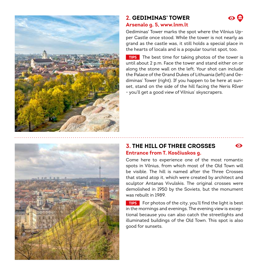

#### **2. GEDIMINAS' TOWER Arsenalo g. 5, www.lnm.lt**

Gediminas' Tower marks the spot where the Vilnius Upper Castle once stood. While the tower is not nearly as grand as the castle was, it still holds a special place in the hearts of locals and is a popular tourist spot, too.

TIPS The best time for taking photos of the tower is until about 2 p.m. Face the tower and stand either on or along the stone wall on the left. Your shot can include the Palace of the Grand Dukes of Lithuania (left) and Gediminas' Tower (right). If you happen to be here at sunset, stand on the side of the hill facing the Neris RIver - you'll get a good view of Vilnius' skyscrapers.

#### **3. THE HILL OF THREE CROSSES Entrance from T. Kosčiuskos g.**

 $\bullet$ 

Come here to experience one of the most romantic spots in Vilnius, from which most of the Old Town will be visible. The hill is named after the Three Crosses that stand atop it, which were created by architect and sculptor Antanas Vivulskis. The original crosses were demolished in 1950 by the Soviets, but the monument was rebuilt in 1989.

**TIPS** For photos of the city, you'll find the light is best in the mornings and evenings. The evening view is exceptional because you can also catch the streetlights and illuminated buildings of the Old Town. This spot is also good for sunsets.

## $\bm{\odot}$  (iii)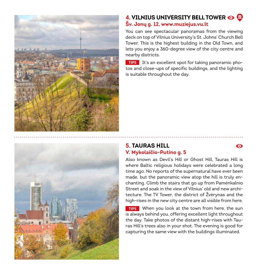

#### **4. VILNIUS UNIVERSITY BELL TOWER Šv. Jonų g. 12, www.muziejus.vu.lt**

You can see spectacular panoramas from the viewing deck on top of Vilnius University's St. Johns' Church Bell Tower. This is the highest building in the Old Town, and lets you enjoy a 360-degree view of the city centre and nearby districts.

**TIPS** It's an excellent spot for taking panoramic photos and close-ups of specific buildings, and the lighting is suitable throughout the day.



#### **5. TAURAS HILL V. Mykolaičio-Putino g. 5**

⋒

Also known as Devil's Hill or Ghost Hill, Tauras Hill is where Baltic religious holidays were celebrated a long time ago. No reports of the supernatural have ever been made, but the panoramic view atop the hill is truly enchanting. Climb the stairs that go up from Pamėnkalnio Street and soak in the view of Vilnius' old and new architecture. The TV Tower, the district of Žvėrynas and the high-rises in the new city centre are all visible from here.

TIPS When you look at the town from here, the sun is always behind you, offering excellent light throughout the day. Take photos of the distant high-rises with Tauras Hill's trees also in your shot. The evening is good for capturing the same view with the buildings illuminated.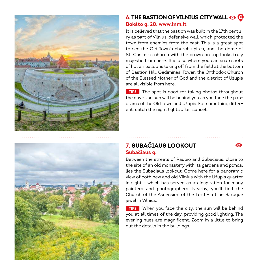



It is believed that the bastion was built in the 17th century as part of Vilnius' defensive wall, which protected the town from enemies from the east. This is a great spot to see the Old Town's church spires, and the dome of St. Casimir's church with the crown on top looks truly majestic from here. It is also where you can snap shots of hot air balloons taking off from the field at the bottom of Bastion Hill. Gediminas' Tower, the Orthodox Church of the Blessed Mother of God and the district of Užupis are all visible from here.

TIPS The spot is good for taking photos throughout the day - the sun will be behind you as you face the panorama of the Old Town and Užupis. For something different, catch the night lights after sunset.



#### **7. SUBAČIAUS LOOKOUT Subačiaus g.**

 $\bullet$ 

Between the streets of Paupio and Subačiaus, close to the site of an old monastery with its gardens and ponds, lies the Subačiaus lookout. Come here for a panoramic view of both new and old Vilnius with the Užupis quarter in sight – which has served as an inspiration for many painters and photographers. Nearby, you'll find the Church of the Ascension of the Lord - a true Baroque jewel in Vilnius.

**TIPS** When you face the city, the sun will be behind you at all times of the day, providing good lighting. The evening hues are magnificent. Zoom in a little to bring out the details in the buildings.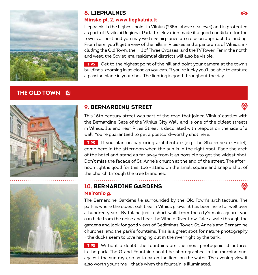

#### **8. LIEPKALNIS Minsko pl. 2, www.liepkalnis.lt**

Liepkalnis is the highest point in Vilnius (235m above sea level) and is protected as part of Pavilniai Regional Park. Its elevation made it a good candidate for the town's airport and you may well see airplanes up close on approach to landing. From here, you'll get a view of the hills in Ribiškės and a panorama of Vilnius, including the Old Town, the Hill of Three Crosses, and the TV Tower. Far in the north and west, the Soviet-era residential districts will also be visible.

Get to the highest point of the hill and point your camera at the town's buildings, zooming in as close as you can. If you're lucky you'll be able to capture a passing plane in your shot. The lighting is good throughout the day.

### **THE OLD TOWN**



#### **9. BERNARDINŲ STREET**

This 16th century street was part of the road that joined Vilnius' castles with the Bernardine Gate of the Vilnius City Wall, and is one of the oldest streets in Vilnius. Its end near Pilies Street is decorated with teapots on the side of a wall. You're guaranteed to get a postcard-worthy shot here.

**TIPS** If you plan on capturing architecture (e.g. The Shakespeare Hotel), come here in the afternoon when the sun is in the right spot. Face the arch of the hotel and stand as far away from it as possible to get the widest shot. Don't miss the facade of St. Anne's church at the end of the street. The afternoon light is good for this, too - stand on the small square and snap a shot of the church through the tree branches.

#### **10. BERNARDINE GARDENS Maironio g.**

The Bernardine Gardens lie surrounded by the Old Town's architecture. The park is where the oldest oak tree in Vilnius grows; it has been here for well over a hundred years. By taking just a short walk from the city's main square, you can hide from the noise and hear the Vilnelė River flow. Take a walk through the gardens and look for good views of Gediminas' Tower, St. Anne's and Bernardine churches, and the park's fountains. This is a great spot for nature photography - the ducks seem to love hanging out in the river right by the park.

Without a doubt, the fountains are the most photogenic structures in the park. The Grand Fountain should be photographed in the morning sun, against the sun rays, so as to catch the light on the water. The evening view if also worth your time - that's when the fountain is illuminated.

⋒

M

**CAR**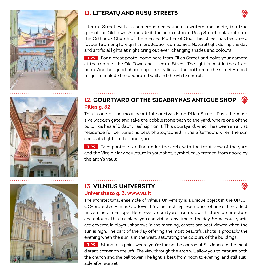



Literatų Street, with its numerous dedications to writers and poets, is a true gem of the Old Town. Alongside it, the cobblestoned Rusų Street looks out onto the Orthodox Church of the Blessed Mother of God. This street has become a favourite among foreign film production companies. Natural light during the day and artificial lights at night bring out ever-changing shades and colours.

**TIPS** For a great photo, come here from Pilies Street and point your camera at the roofs of the Old Town and Literatų Street. The light is best in the afternoon. Another good photo opportunity lies at the bottom of the street – don't forget to include the decorated wall and the white church.

#### **12. COURTYARD OF THE SIDABRYNAS ANTIQUE SHOP Pilies g. 32**

This is one of the most beautiful courtyards on Pilies Street. Pass the massive wooden gate and take the cobblestone path to the yard, where one of the buildings has a "Sidabrynas" sign on it. This courtyard, which has been an artist residence for centuries, is best photographed in the afternoon, when the sun sheds its light on the inner yard.

TIPS Take photos standing under the arch, with the front view of the yard and the Virgin Mary sculpture in your shot, symbolically framed from above by the arch's vault.



#### **13. VILNIUS UNIVERSITY Universiteto g. 3, www.vu.lt**

The architectural ensemble of Vilnius University is a unique object in the UNES-CO-protected Vilnius Old Town. It's a perfect representation of one of the oldest universities in Europe. Here, every courtyard has its own history, architecture and colours. This is a place you can visit at any time of the day. Some courtyards are covered in playful shadows in the morning, others are best viewed when the sun is high. The part of the day offering the most beautiful shots is probably the evening when the sun is in the west, saturating the colours of the buildings.

**TIPS** Stand at a point where you're facing the church of St. Johns, in the most distant corner on the left. The view through the arch will allow you to capture both the church and the bell tower. The light is best from noon to evening, and still suitable after sunset.

**CAR**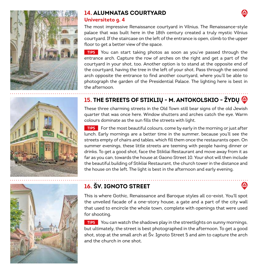





#### **14. ALUMNATAS COURTYARD Universiteto g. 4**

The most impressive Renaissance courtyard in Vilnius. The Renaissance-style palace that was built here in the 18th century created a truly mystic Vilnius courtyard. If the staircase on the left of the entrance is open, climb to the upper floor to get a better view of the space.

**TIPS** You can start taking photos as soon as you've passed through the entrance arch. Capture the row of arches on the right and get a part of the courtyard in your shot, too. Another option is to stand at the opposite end of the courtyard, having the tree in the left of your shot. Pass through the second arch opposite the entrance to find another courtyard, where you'll be able to photograph the garden of the Presidential Palace. The lighting here is best in the afternoon.

### **15. THE STREETS OF STIKLIŲ - M. ANTOKOLSKIO - ŽYDŲ**

These three charming streets in the Old Town still bear signs of the old Jewish quarter that was once here. Window shutters and arches catch the eye. Warm colours dominate as the sun fills the streets with light.

**TIPS** For the most beautiful colours, come by early in the morning or just after lunch. Early mornings are a better time in the summer, because you'll see the streets empty of chairs and tables, which fill them once the restaurants open. On summer evenings, these little streets are teeming with people having dinner or drinks. To get a good shot, face the Stikliai Restaurant and move away from it as far as you can, towards the house at Gaono Street 10. Your shot will then include the beautiful building of Stikliai Restaurant, the church tower in the distance and the house on the left. The light is best in the afternoon and early evening.

### **16. ŠV. IGNOTO STREET**

This is where Gothic, Renaissance and Baroque styles all co-exist. You'll spot the unveiled facade of a one-story house, a gate and a part of the city wall that used to encircle the whole town, complete with openings that were used for shooting.

**TIPS** You can watch the shadows play in the streetlights on sunny mornings, but ultimately, the street is best photographed in the afternoon. To get a good shot, stop at the small arch at Šv. Ignoto Street 5 and aim to capture the arch and the church in one shot.

**A**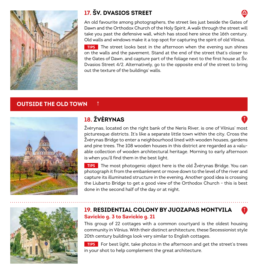

### **17. ŠV. DVASIOS STREET**

An old favourite among photographers, the street lies just beside the Gates of Dawn and the Orthodox Church of the Holy Spirit. A walk through the street will take you past the defensive wall, which has stood here since the 16th century. Old walls and windows make it a top spot for capturing the spirit of old Vilnius.

TIPS The street looks best in the afternoon when the evening sun shines on the walls and the pavement. Stand at the end of the street that's closer to the Gates of Dawn, and capture part of the foliage next to the first house at Šv. Dvasios Street 4/2. Alternatively, go to the opposite end of the street to bring out the texture of the buildings' walls.

#### **OUTSIDE THE OLD TOWN**



### **18. ŽVĖRYNAS**

 $\uparrow$ 

Žvėrynas, located on the right bank of the Neris River, is one of Vilnius' most picturesque districts. It's like a separate little town within the city. Cross the Žvėrynas Bridge to enter a neighbourhood lined with wooden houses, gardens and pine trees. The 108 wooden houses in this district are regarded as a valuable collection of wooden architectural heritage. Morning to early afternoon is when you'll find them in the best light.

TIPS The most photogenic object here is the old Žvėrynas Bridge. You can photograph it from the embankment or move down to the level of the river and capture its illuminated structure in the evening. Another good idea is crossing the Liubarto Bridge to get a good view of the Orthodox Church - this is best done in the second half of the day or at night.



#### **19. RESIDENTIAL COLONY BY JUOZAPAS MONTVILA Savickio g. 3 to Savickio g. 21**

This group of 22 cottages with a common courtyard is the oldest housing community in Vilnius. With their distinct architecture, these Secessionist style 20th century buildings look very similar to English cottages.

**FIPS** For best light, take photos in the afternoon and get the street's trees in your shot to help complement the great architecture.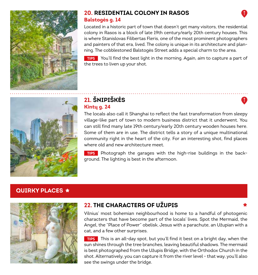

#### **20. RESIDENTIAL COLONY IN RASOS Balstogės g. 14**

Located in a historic part of town that doesn't get many visitors, the residential colony in Rasos is a block of late 19th century/early 20th century houses. This is where Stanislovas Filibertas Fleris, one of the most prominent photographers and painters of that era, lived. The colony is unique in its architecture and planning. The cobblestoned Balstogės Street adds a special charm to the area.

**TIPS** You'll find the best light in the morning. Again, aim to capture a part of the trees to liven up your shot.



#### **21. ŠNIPIŠKĖS Kintų g. 24**

The locals also call it Shanghai to reflect the fast transformation from sleepy village-like part of town to modern business district that it underwent. You can still find many late 19th century/early 20th century wooden houses here. Some of them are in use. The district tells a story of a unique multinational community right in the heart of the city. For an interesting shot, find places where old and new architecture meet.

 $\mathbf{T}$ 

TIPS Photograph the garages with the high-rise buildings in the background. The lighting is best in the afternoon.

# **QUIRKY PLACES \***



#### **22. THE CHARACTERS OF UŽUPIS**

\* **Xendity CHARACTERS OF UŽUPIS**<br>Vilnius' most bohemian neighbourhood is home to a handful of photogenic characters that have become part of the locals' lives. Spot the Mermaid, the Angel, the "Place of Power" obelisk, Jesus with a parachute, an Užupian with a cat, and a few other surprises.

TIPS This is an all-day spot, but you'll find it best on a bright day, when the sun shines through the tree branches, leaving beautiful shadows. The mermaid is best photographed from the Užupis Bridge, with the Orthodox Church in the shot. Alternatively, you can capture it from the river level - that way, you'll also see the swings under the bridge.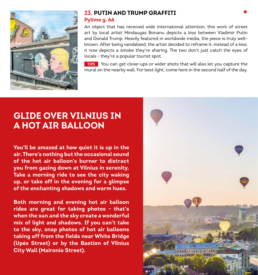

#### **23. PUTIN AND TRUMP GRAFFITI Pylimo g. 66**

An object that has received wide international attention, this work of street art by local artist Mindaugas Bonanu depicts a kiss between Vladimir Putin and Donald Trump. Heavily featured in worldwide media, the piece is truly wellknown. After being vandalised, the artist decided to reframe it: instead of a kiss, it now depicts a smoke they're sharing. The two don't just catch the eyes of locals - they're a popular tourist spot.

**TIPS** You can get close-ups or wider shots that will also let you capture the mural on the nearby wall. For best light, come here in the second half of the day.

# **GLIDE OVER VILNIUS IN A HOT AIR BALLOON**

**You'll be amazed at how quiet it is up in the air. There's nothing but the occasional sound of the hot air balloon's burner to distract you from gazing down at Vilnius in serenity. Take a morning ride to see the city waking up, or take off in the evening for a glimpse of the enchanting shadows and warm hues.**

**Both morning and evening hot air balloon rides are great for taking photos - that's when the sun and the sky create a wonderful mix of light and shadows. If you can't take to the sky, snap photos of hot air balloons taking off from the fields near White Bridge (Upės Street) or by the Bastion of Vilnius City Wall (Maironio Street).**